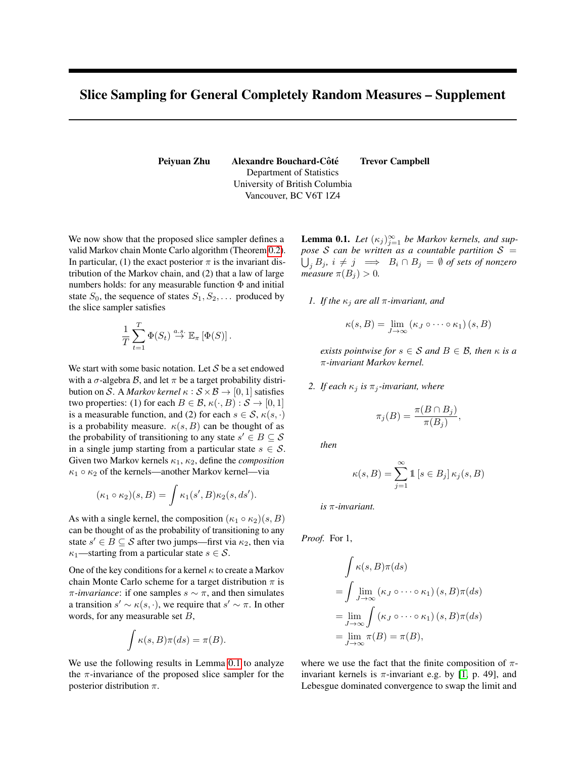## Slice Sampling for General Completely Random Measures – Supplement

Peiyuan Zhu Alexandre Bouchard-Côté Trevor Campbell Department of Statistics University of British Columbia Vancouver, BC V6T 1Z4

We now show that the proposed slice sampler defines a valid Markov chain Monte Carlo algorithm (Theorem [0.2\)](#page-1-0). In particular, (1) the exact posterior  $\pi$  is the invariant distribution of the Markov chain, and (2) that a law of large numbers holds: for any measurable function  $\Phi$  and initial state  $S_0$ , the sequence of states  $S_1, S_2, \ldots$  produced by the slice sampler satisfies

$$
\frac{1}{T} \sum_{t=1}^T \Phi(S_t) \stackrel{a.s.}{\to} \mathbb{E}_{\pi} [\Phi(S)].
$$

We start with some basic notation. Let  $S$  be a set endowed with a  $\sigma$ -algebra  $\beta$ , and let  $\pi$  be a target probability distribution on S. A *Markov kernel*  $\kappa$  :  $S \times B \rightarrow [0, 1]$  satisfies two properties: (1) for each  $B \in \mathcal{B}$ ,  $\kappa(\cdot, B) : \mathcal{S} \to [0, 1]$ is a measurable function, and (2) for each  $s \in \mathcal{S}$ ,  $\kappa(s, \cdot)$ is a probability measure.  $\kappa(s, B)$  can be thought of as the probability of transitioning to any state  $s' \in B \subseteq \mathcal{S}$ in a single jump starting from a particular state  $s \in \mathcal{S}$ . Given two Markov kernels  $\kappa_1$ ,  $\kappa_2$ , define the *composition*  $\kappa_1 \circ \kappa_2$  of the kernels—another Markov kernel—via

$$
(\kappa_1 \circ \kappa_2)(s, B) = \int \kappa_1(s', B) \kappa_2(s, ds').
$$

As with a single kernel, the composition  $(\kappa_1 \circ \kappa_2)(s, B)$ can be thought of as the probability of transitioning to any state  $s' \in B \subseteq \mathcal{S}$  after two jumps—first via  $\kappa_2$ , then via  $\kappa_1$ —starting from a particular state  $s \in \mathcal{S}$ .

One of the key conditions for a kernel  $\kappa$  to create a Markov chain Monte Carlo scheme for a target distribution  $\pi$  is  $\pi$ *-invariance*: if one samples  $s \sim \pi$ , and then simulates a transition  $s' \sim \kappa(s, \cdot)$ , we require that  $s' \sim \pi$ . In other words, for any measurable set  $B$ ,

$$
\int \kappa(s, B)\pi(ds) = \pi(B).
$$

<span id="page-0-0"></span>We use the following results in Lemma [0.1](#page-0-0) to analyze the  $\pi$ -invariance of the proposed slice sampler for the posterior distribution  $\pi$ .

**Lemma 0.1.** Let  $(\kappa_j)_{j=1}^{\infty}$  be Markov kernels, and sup*pose* S can be written as a countable partition  $S =$  $\bigcup_j B_j, \ i \neq j \implies \ B_i \cap B_j \ = \ \emptyset \ \textit{of sets of nonzero}$ *measure*  $\pi(B_i) > 0$ .

*1. If the*  $\kappa_i$  *are all*  $\pi$ *-invariant, and* 

$$
\kappa(s,B) = \lim_{J \to \infty} (\kappa_J \circ \cdots \circ \kappa_1) (s,B)
$$

*exists pointwise for*  $s \in S$  *and*  $B \in B$ *, then*  $\kappa$  *is a* π*-invariant Markov kernel.*

*2. If each*  $\kappa_j$  *is*  $\pi_j$ *-invariant, where* 

$$
\pi_j(B) = \frac{\pi(B \cap B_j)}{\pi(B_j)},
$$

*then*

$$
\kappa(s, B) = \sum_{j=1}^{\infty} \mathbb{1} \left[ s \in B_j \right] \kappa_j(s, B)
$$

*is* π*-invariant.*

*Proof.* For 1,

$$
\int \kappa(s, B)\pi(ds)
$$
  
= 
$$
\int \lim_{J \to \infty} (\kappa_J \circ \cdots \circ \kappa_1) (s, B)\pi(ds)
$$
  
= 
$$
\lim_{J \to \infty} \int (\kappa_J \circ \cdots \circ \kappa_1) (s, B)\pi(ds)
$$
  
= 
$$
\lim_{J \to \infty} \pi(B) = \pi(B),
$$

where we use the fact that the finite composition of  $\pi$ invariant kernels is  $\pi$ -invariant e.g. by [\[1,](#page-1-1) p. 49], and Lebesgue dominated convergence to swap the limit and